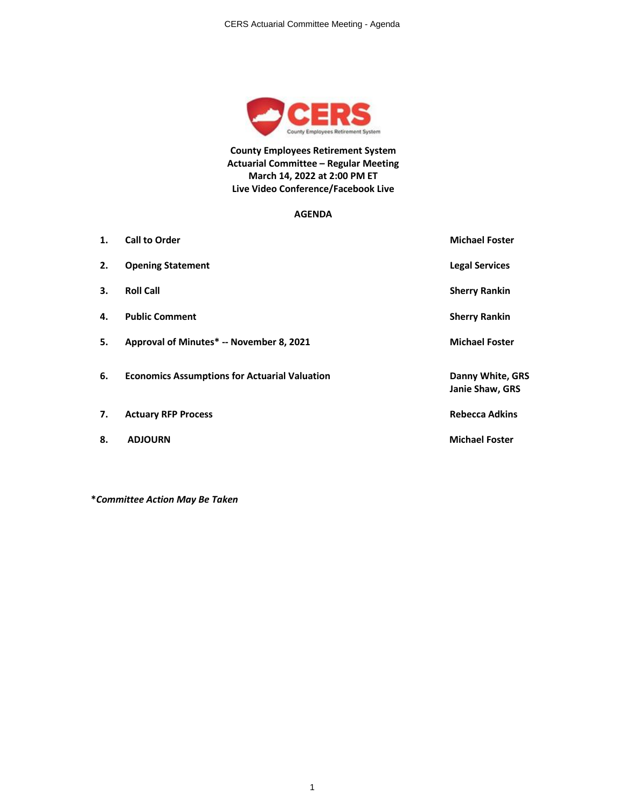

**County Employees Retirement System Actuarial Committee – Regular Meeting March 14, 2022 at 2:00 PM ET Live Video Conference/Facebook Live**

#### **AGENDA**

| $\mathbf{1}$ . | <b>Call to Order</b>                                 | <b>Michael Foster</b>               |
|----------------|------------------------------------------------------|-------------------------------------|
| 2.             | <b>Opening Statement</b>                             | <b>Legal Services</b>               |
| 3.             | <b>Roll Call</b>                                     | <b>Sherry Rankin</b>                |
| 4.             | <b>Public Comment</b>                                | <b>Sherry Rankin</b>                |
| 5.             | Approval of Minutes* -- November 8, 2021             | <b>Michael Foster</b>               |
| 6.             | <b>Economics Assumptions for Actuarial Valuation</b> | Danny White, GRS<br>Janie Shaw, GRS |
| 7.             | <b>Actuary RFP Process</b>                           | <b>Rebecca Adkins</b>               |
| 8.             | <b>ADJOURN</b>                                       | <b>Michael Foster</b>               |

**\****Committee Action May Be Taken*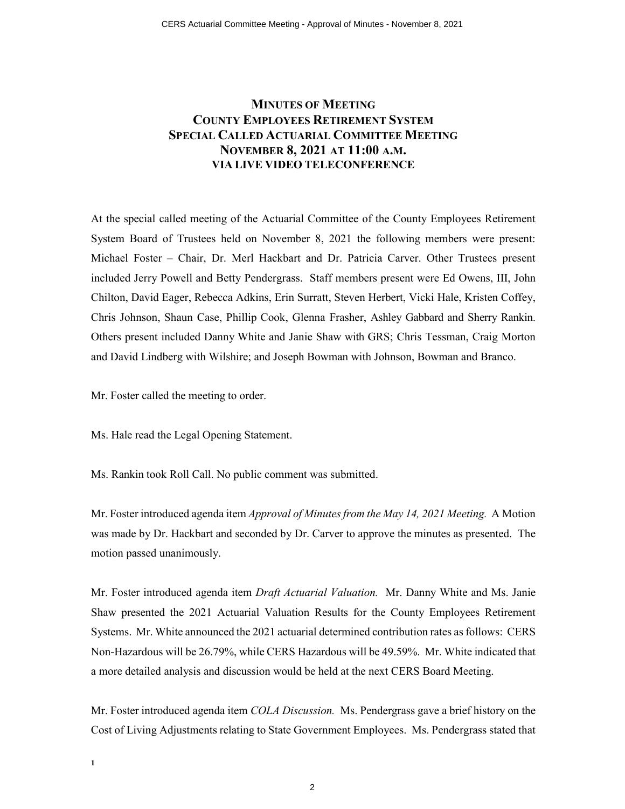### **MINUTES OF MEETING COUNTY EMPLOYEES RETIREMENT SYSTEM SPECIAL CALLED ACTUARIAL COMMITTEE MEETING NOVEMBER 8, 2021 AT 11:00 A.M. VIA LIVE VIDEO TELECONFERENCE**

At the special called meeting of the Actuarial Committee of the County Employees Retirement System Board of Trustees held on November 8, 2021 the following members were present: Michael Foster – Chair, Dr. Merl Hackbart and Dr. Patricia Carver. Other Trustees present included Jerry Powell and Betty Pendergrass. Staff members present were Ed Owens, III, John Chilton, David Eager, Rebecca Adkins, Erin Surratt, Steven Herbert, Vicki Hale, Kristen Coffey, Chris Johnson, Shaun Case, Phillip Cook, Glenna Frasher, Ashley Gabbard and Sherry Rankin. Others present included Danny White and Janie Shaw with GRS; Chris Tessman, Craig Morton and David Lindberg with Wilshire; and Joseph Bowman with Johnson, Bowman and Branco.

Mr. Foster called the meeting to order.

**1**

Ms. Hale read the Legal Opening Statement.

Ms. Rankin took Roll Call. No public comment was submitted.

Mr. Foster introduced agenda item *Approval of Minutes from the May 14, 2021 Meeting.* A Motion was made by Dr. Hackbart and seconded by Dr. Carver to approve the minutes as presented. The motion passed unanimously.

Mr. Foster introduced agenda item *Draft Actuarial Valuation.* Mr. Danny White and Ms. Janie Shaw presented the 2021 Actuarial Valuation Results for the County Employees Retirement Systems. Mr. White announced the 2021 actuarial determined contribution rates as follows: CERS Non-Hazardous will be 26.79%, while CERS Hazardous will be 49.59%. Mr. White indicated that a more detailed analysis and discussion would be held at the next CERS Board Meeting.

Mr. Foster introduced agenda item *COLA Discussion.* Ms. Pendergrass gave a brief history on the Cost of Living Adjustments relating to State Government Employees. Ms. Pendergrass stated that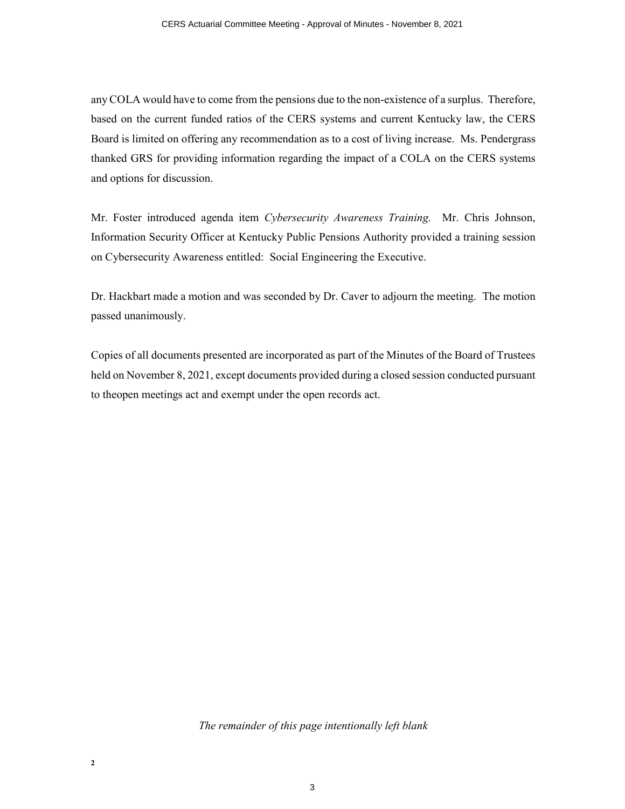any COLA would have to come from the pensions due to the non-existence of a surplus. Therefore, based on the current funded ratios of the CERS systems and current Kentucky law, the CERS Board is limited on offering any recommendation as to a cost of living increase. Ms. Pendergrass thanked GRS for providing information regarding the impact of a COLA on the CERS systems and options for discussion.

Mr. Foster introduced agenda item *Cybersecurity Awareness Training.* Mr. Chris Johnson, Information Security Officer at Kentucky Public Pensions Authority provided a training session on Cybersecurity Awareness entitled: Social Engineering the Executive.

Dr. Hackbart made a motion and was seconded by Dr. Caver to adjourn the meeting. The motion passed unanimously.

Copies of all documents presented are incorporated as part of the Minutes of the Board of Trustees held on November 8, 2021, except documents provided during a closed session conducted pursuant to theopen meetings act and exempt under the open records act.

*The remainder of this page intentionally left blank*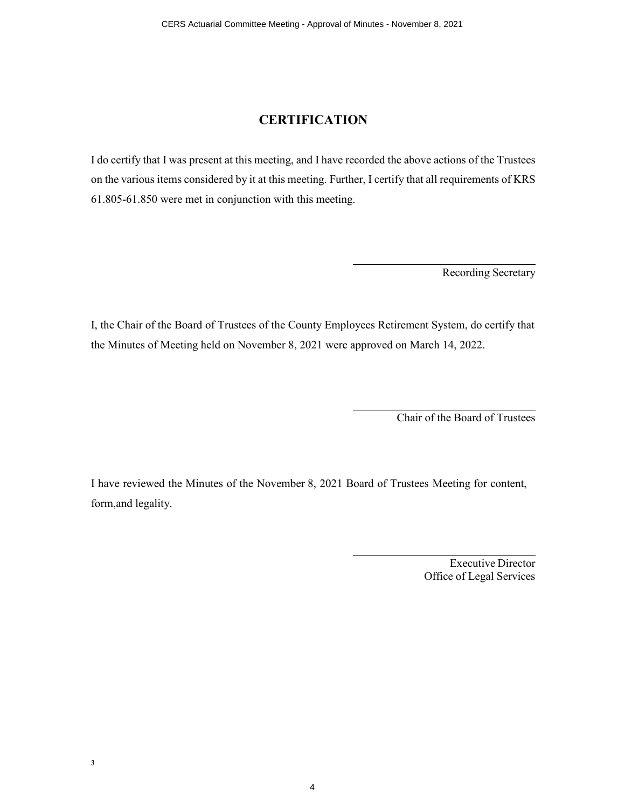### **CERTIFICATION**

I do certify that I was present at this meeting, and I have recorded the above actions of the Trustees on the various items considered by it at this meeting. Further, I certify that all requirements of KRS 61.805-61.850 were met in conjunction with this meeting.

Recording Secretary

I, the Chair of the Board of Trustees of the County Employees Retirement System, do certify that the Minutes of Meeting held on November 8, 2021 were approved on March 14, 2022.

Chair of the Board of Trustees

I have reviewed the Minutes of the November 8, 2021 Board of Trustees Meeting for content, form,and legality.

4

Executive Director Office of Legal Services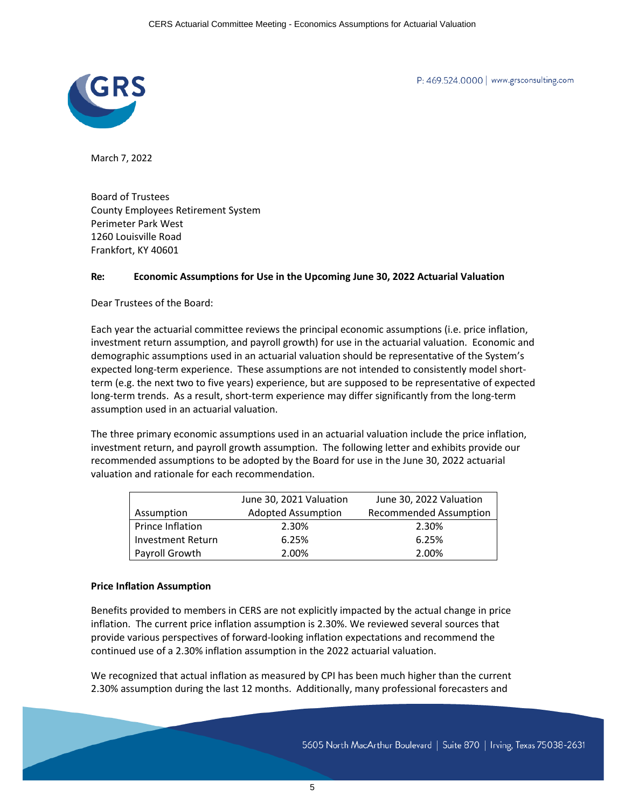

P: 469.524.0000 | www.grsconsulting.com

March 7, 2022

Board of Trustees County Employees Retirement System Perimeter Park West 1260 Louisville Road Frankfort, KY 40601

#### **Re: Economic Assumptions for Use in the Upcoming June 30, 2022 Actuarial Valuation**

Dear Trustees of the Board:

Each year the actuarial committee reviews the principal economic assumptions (i.e. price inflation, investment return assumption, and payroll growth) for use in the actuarial valuation. Economic and demographic assumptions used in an actuarial valuation should be representative of the System's expected long-term experience. These assumptions are not intended to consistently model shortterm (e.g. the next two to five years) experience, but are supposed to be representative of expected long-term trends. As a result, short-term experience may differ significantly from the long-term assumption used in an actuarial valuation.

The three primary economic assumptions used in an actuarial valuation include the price inflation, investment return, and payroll growth assumption. The following letter and exhibits provide our recommended assumptions to be adopted by the Board for use in the June 30, 2022 actuarial valuation and rationale for each recommendation.

|                          | June 30, 2021 Valuation   | June 30, 2022 Valuation       |  |  |
|--------------------------|---------------------------|-------------------------------|--|--|
| Assumption               | <b>Adopted Assumption</b> | <b>Recommended Assumption</b> |  |  |
| Prince Inflation         | 2.30%                     | 2.30%                         |  |  |
| <b>Investment Return</b> | 6.25%                     | 6.25%                         |  |  |
| Payroll Growth           | 2.00%                     | 2.00%                         |  |  |

#### **Price Inflation Assumption**

Benefits provided to members in CERS are not explicitly impacted by the actual change in price inflation. The current price inflation assumption is 2.30%. We reviewed several sources that provide various perspectives of forward-looking inflation expectations and recommend the continued use of a 2.30% inflation assumption in the 2022 actuarial valuation.

We recognized that actual inflation as measured by CPI has been much higher than the current 2.30% assumption during the last 12 months. Additionally, many professional forecasters and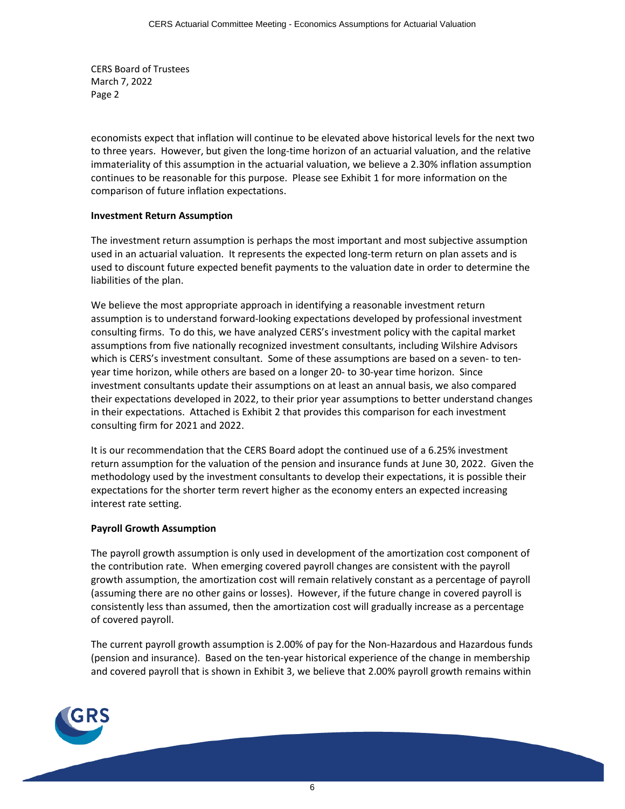CERS Board of Trustees March 7, 2022 Page 2

economists expect that inflation will continue to be elevated above historical levels for the next two to three years. However, but given the long-time horizon of an actuarial valuation, and the relative immateriality of this assumption in the actuarial valuation, we believe a 2.30% inflation assumption continues to be reasonable for this purpose. Please see Exhibit 1 for more information on the comparison of future inflation expectations.

### **Investment Return Assumption**

The investment return assumption is perhaps the most important and most subjective assumption used in an actuarial valuation. It represents the expected long-term return on plan assets and is used to discount future expected benefit payments to the valuation date in order to determine the liabilities of the plan.

We believe the most appropriate approach in identifying a reasonable investment return assumption is to understand forward-looking expectations developed by professional investment consulting firms. To do this, we have analyzed CERS's investment policy with the capital market assumptions from five nationally recognized investment consultants, including Wilshire Advisors which is CERS's investment consultant. Some of these assumptions are based on a seven- to tenyear time horizon, while others are based on a longer 20- to 30-year time horizon. Since investment consultants update their assumptions on at least an annual basis, we also compared their expectations developed in 2022, to their prior year assumptions to better understand changes in their expectations. Attached is Exhibit 2 that provides this comparison for each investment consulting firm for 2021 and 2022.

It is our recommendation that the CERS Board adopt the continued use of a 6.25% investment return assumption for the valuation of the pension and insurance funds at June 30, 2022. Given the methodology used by the investment consultants to develop their expectations, it is possible their expectations for the shorter term revert higher as the economy enters an expected increasing interest rate setting.

#### **Payroll Growth Assumption**

The payroll growth assumption is only used in development of the amortization cost component of the contribution rate. When emerging covered payroll changes are consistent with the payroll growth assumption, the amortization cost will remain relatively constant as a percentage of payroll (assuming there are no other gains or losses). However, if the future change in covered payroll is consistently less than assumed, then the amortization cost will gradually increase as a percentage of covered payroll.

The current payroll growth assumption is 2.00% of pay for the Non-Hazardous and Hazardous funds (pension and insurance). Based on the ten-year historical experience of the change in membership and covered payroll that is shown in Exhibit 3, we believe that 2.00% payroll growth remains within

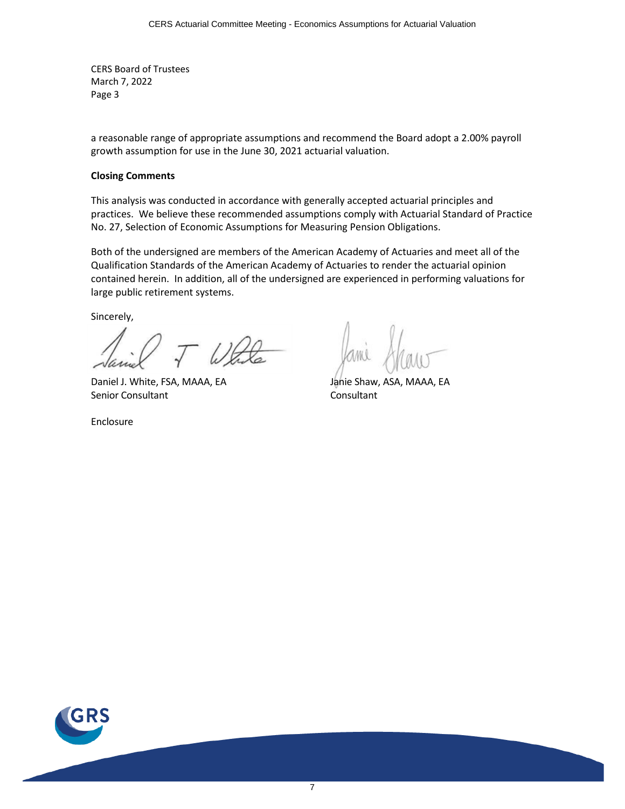CERS Board of Trustees March 7, 2022 Page 3

a reasonable range of appropriate assumptions and recommend the Board adopt a 2.00% payroll growth assumption for use in the June 30, 2021 actuarial valuation.

#### **Closing Comments**

This analysis was conducted in accordance with generally accepted actuarial principles and practices. We believe these recommended assumptions comply with Actuarial Standard of Practice No. 27, Selection of Economic Assumptions for Measuring Pension Obligations.

Both of the undersigned are members of the American Academy of Actuaries and meet all of the Qualification Standards of the American Academy of Actuaries to render the actuarial opinion contained herein. In addition, all of the undersigned are experienced in performing valuations for large public retirement systems.

Sincerely,

Daniel J. White, FSA, MAAA, EA Jahie Shaw, ASA, MAAA, EA Senior Consultant Consultant Consultant

Enclosure

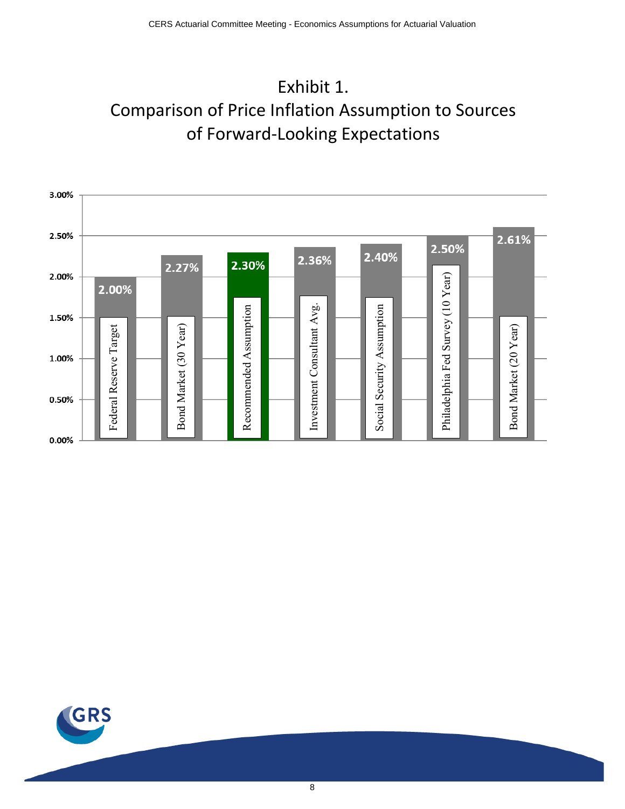



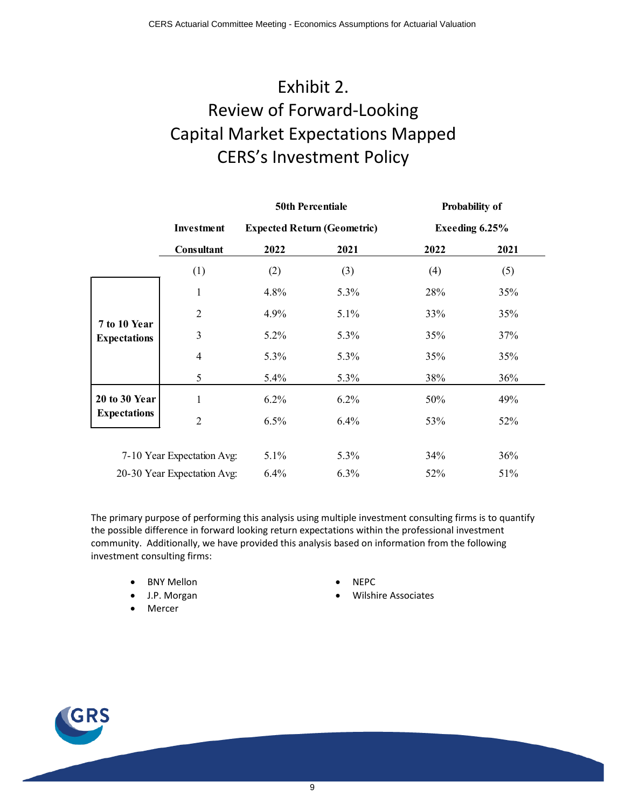# Exhibit 2. Review of Forward-Looking Capital Market Expectations Mapped CERS's Investment Policy

|                                     |                            | <b>50th Percentiale</b> |                                    |      | <b>Probability of</b> |
|-------------------------------------|----------------------------|-------------------------|------------------------------------|------|-----------------------|
|                                     | Investment                 |                         | <b>Expected Return (Geometric)</b> |      | Exeeding 6.25%        |
|                                     | Consultant                 | 2022                    | 2021                               | 2022 | 2021                  |
|                                     | (1)                        | (2)                     | (3)                                | (4)  | (5)                   |
|                                     | $\mathbf{1}$               | 4.8%                    | 5.3%                               | 28%  | 35%                   |
|                                     | $\overline{2}$             | 4.9%                    | 5.1%                               | 33%  | 35%                   |
| 7 to 10 Year<br><b>Expectations</b> | 3                          | $5.2\%$                 | 5.3%                               | 35%  | 37%                   |
|                                     | 4                          | 5.3%                    | 5.3%                               | 35%  | 35%                   |
|                                     | 5                          | 5.4%                    | 5.3%                               | 38%  | 36%                   |
| <b>20 to 30 Year</b>                | 1                          | 6.2%                    | 6.2%                               | 50%  | 49%                   |
| <b>Expectations</b>                 | $\overline{2}$             | 6.5%                    | 6.4%                               | 53%  | 52%                   |
|                                     |                            |                         |                                    |      |                       |
|                                     | 7-10 Year Expectation Avg: | 5.1%                    | 5.3%                               | 34%  | 36%                   |
| 20-30 Year Expectation Avg:         |                            | 6.4%                    | 6.3%                               | 52%  | 51%                   |

The primary purpose of performing this analysis using multiple investment consulting firms is to quantify the possible difference in forward looking return expectations within the professional investment community. Additionally, we have provided this analysis based on information from the following investment consulting firms:

- BNY Mellon NEPC
- 
- **Mercer**
- 
- J.P. Morgan  **Wilshire Associates**

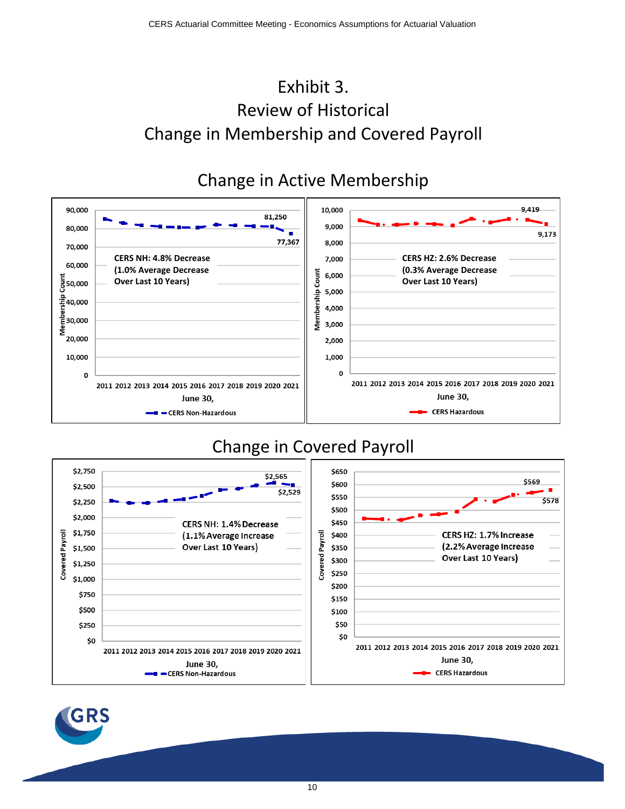# Exhibit 3. Review of Historical Change in Membership and Covered Payroll

#### Change in Active Membership 90,000 10,000 9,419 81.250 9,000 80,000 9,173 77,367 8,000 70,000 **CERS NH: 4.8% Decrease CERS HZ: 2.6% Decrease** 7,000 60,000 **(1.0% Average Decrease (0.3% Average Decrease**  Count 6,000 - 동<br>850,000 **Over Last 10 Years) Over Last 10 Years)** Membership 5,000 듷40,000 4,000  $\frac{8}{5}$ 30,000 3,000 ž 20,000 2,000 1,000 10,000  $\mathbf{o}$  $\mathbf 0$ 2011 2012 2013 2014 2015 2016 2017 2018 2019 2020 2021 2011 2012 2013 2014 2015 2016 2017 2018 2019 2020 2021 **June 30, June 30, CERS Hazardous** - CERS Non-Hazardous

# Change in Covered Payroll



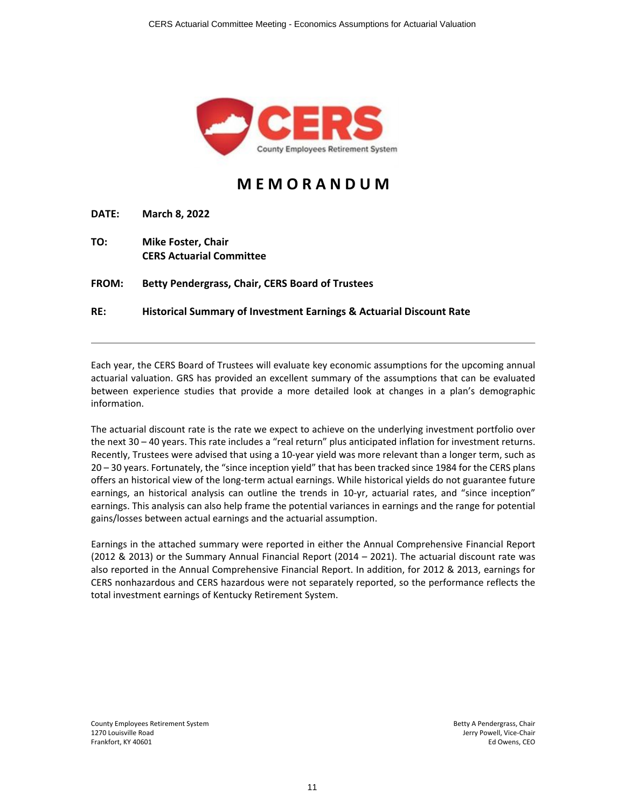

## **M E M O R A N D U M**

**DATE: March 8, 2022**

**TO: Mike Foster, Chair CERS Actuarial Committee**

**FROM: Betty Pendergrass, Chair, CERS Board of Trustees**

**RE: Historical Summary of Investment Earnings & Actuarial Discount Rate**

Each year, the CERS Board of Trustees will evaluate key economic assumptions for the upcoming annual actuarial valuation. GRS has provided an excellent summary of the assumptions that can be evaluated between experience studies that provide a more detailed look at changes in a plan's demographic information.

The actuarial discount rate is the rate we expect to achieve on the underlying investment portfolio over the next 30 – 40 years. This rate includes a "real return" plus anticipated inflation for investment returns. Recently, Trustees were advised that using a 10‐year yield was more relevant than a longer term, such as 20 – 30 years. Fortunately, the "since inception yield" that has been tracked since 1984 for the CERS plans offers an historical view of the long‐term actual earnings. While historical yields do not guarantee future earnings, an historical analysis can outline the trends in 10-yr, actuarial rates, and "since inception" earnings. This analysis can also help frame the potential variances in earnings and the range for potential gains/losses between actual earnings and the actuarial assumption.

Earnings in the attached summary were reported in either the Annual Comprehensive Financial Report (2012 & 2013) or the Summary Annual Financial Report (2014 – 2021). The actuarial discount rate was also reported in the Annual Comprehensive Financial Report. In addition, for 2012 & 2013, earnings for CERS nonhazardous and CERS hazardous were not separately reported, so the performance reflects the total investment earnings of Kentucky Retirement System.

County Employees Retirement System Betty A Pendergrass, Chair 1270 Louisville Road Jerry Powell, Vice-Chair بالتالية المستخدم المستخدم المستخدم المستخدم المستخدم المستخدم ا<br>Ed Owens, CEO Frankfort, KY 40601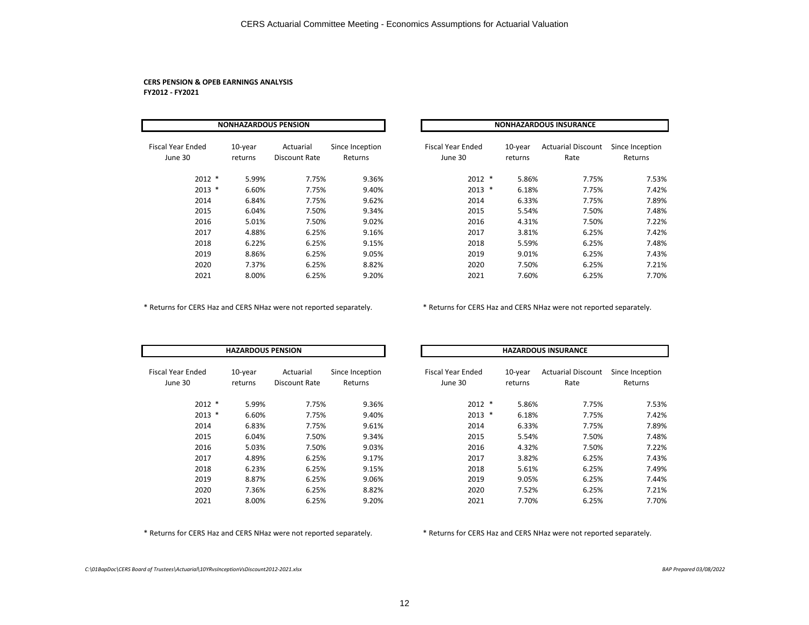#### **CERS PENSION & OPEB EARNINGS ANALYSIS FY2012 ‐ FY2021**

| <b>NONHAZARDOUS PENSION</b>         |                       |                            |                            |  |                                     |                    | <b>NONHAZARDOUS INSURANCE</b>     |                            |
|-------------------------------------|-----------------------|----------------------------|----------------------------|--|-------------------------------------|--------------------|-----------------------------------|----------------------------|
| <b>Fiscal Year Ended</b><br>June 30 | $10$ -year<br>returns | Actuarial<br>Discount Rate | Since Inception<br>Returns |  | <b>Fiscal Year Ended</b><br>June 30 | 10-year<br>returns | <b>Actuarial Discount</b><br>Rate | Since Inception<br>Returns |
| $2012$ *                            | 5.99%                 | 7.75%                      | 9.36%                      |  | $2012$ *                            | 5.86%              | 7.75%                             | 7.53%                      |
| $2013$ *                            | 6.60%                 | 7.75%                      | 9.40%                      |  | $2013$ *                            | 6.18%              | 7.75%                             | 7.42%                      |
| 2014                                | 6.84%                 | 7.75%                      | 9.62%                      |  | 2014                                | 6.33%              | 7.75%                             | 7.89%                      |
| 2015                                | 6.04%                 | 7.50%                      | 9.34%                      |  | 2015                                | 5.54%              | 7.50%                             | 7.48%                      |
| 2016                                | 5.01%                 | 7.50%                      | 9.02%                      |  | 2016                                | 4.31%              | 7.50%                             | 7.22%                      |
| 2017                                | 4.88%                 | 6.25%                      | 9.16%                      |  | 2017                                | 3.81%              | 6.25%                             | 7.42%                      |
| 2018                                | 6.22%                 | 6.25%                      | 9.15%                      |  | 2018                                | 5.59%              | 6.25%                             | 7.48%                      |
| 2019                                | 8.86%                 | 6.25%                      | 9.05%                      |  | 2019                                | 9.01%              | 6.25%                             | 7.43%                      |
| 2020                                | 7.37%                 | 6.25%                      | 8.82%                      |  | 2020                                | 7.50%              | 6.25%                             | 7.21%                      |
| 2021                                | 8.00%                 | 6.25%                      | 9.20%                      |  | 2021                                | 7.60%              | 6.25%                             | 7.70%                      |

| <b>NONHAZARDOUS PENSION</b> |                       |                            |                            | <b>NONHAZARDOUS INSURANCE</b>       |  |                       |                                   |                            |  |
|-----------------------------|-----------------------|----------------------------|----------------------------|-------------------------------------|--|-----------------------|-----------------------------------|----------------------------|--|
| ded                         | $10$ -year<br>returns | Actuarial<br>Discount Rate | Since Inception<br>Returns | <b>Fiscal Year Ended</b><br>June 30 |  | $10$ -year<br>returns | <b>Actuarial Discount</b><br>Rate | Since Inception<br>Returns |  |
| 2012 *                      | 5.99%                 | 7.75%                      | 9.36%                      | $2012$ *                            |  | 5.86%                 | 7.75%                             | 7.53%                      |  |
| $2013$ *                    | 6.60%                 | 7.75%                      | 9.40%                      | $2013$ *                            |  | 6.18%                 | 7.75%                             | 7.42%                      |  |
| 2014                        | 6.84%                 | 7.75%                      | 9.62%                      | 2014                                |  | 6.33%                 | 7.75%                             | 7.89%                      |  |
| 2015                        | 6.04%                 | 7.50%                      | 9.34%                      | 2015                                |  | 5.54%                 | 7.50%                             | 7.48%                      |  |
| 2016                        | 5.01%                 | 7.50%                      | 9.02%                      | 2016                                |  | 4.31%                 | 7.50%                             | 7.22%                      |  |
| 2017                        | 4.88%                 | 6.25%                      | 9.16%                      | 2017                                |  | 3.81%                 | 6.25%                             | 7.42%                      |  |
| 2018                        | 6.22%                 | 6.25%                      | 9.15%                      | 2018                                |  | 5.59%                 | 6.25%                             | 7.48%                      |  |
| 2019                        | 8.86%                 | 6.25%                      | 9.05%                      | 2019                                |  | 9.01%                 | 6.25%                             | 7.43%                      |  |
| 2020                        | 7.37%                 | 6.25%                      | 8.82%                      | 2020                                |  | 7.50%                 | 6.25%                             | 7.21%                      |  |
| 2021                        | 8.00%                 | 6.25%                      | 9.20%                      | 2021                                |  | 7.60%                 | 6.25%                             | 7.70%                      |  |

\* Returns for CERS Haz and CERS NHaz were not reported separately. \* Returns for CERS Haz and CERS NHaz were not reported separately.

|                              | <b>HAZARDOUS PENSION</b> |                            |                            | <b>HAZARDOUS INSURANCE</b>   |                    |                                   |                            |  |
|------------------------------|--------------------------|----------------------------|----------------------------|------------------------------|--------------------|-----------------------------------|----------------------------|--|
| Fiscal Year Ended<br>June 30 | $10$ -year<br>returns    | Actuarial<br>Discount Rate | Since Inception<br>Returns | Fiscal Year Ended<br>June 30 | 10-year<br>returns | <b>Actuarial Discount</b><br>Rate | Since Inception<br>Returns |  |
| $2012$ *                     | 5.99%                    | 7.75%                      | 9.36%                      | $2012$ *                     | 5.86%              | 7.75%                             | 7.53%                      |  |
| $2013$ *                     | 6.60%                    | 7.75%                      | 9.40%                      | $2013$ *                     | 6.18%              | 7.75%                             | 7.42%                      |  |
| 2014                         | 6.83%                    | 7.75%                      | 9.61%                      | 2014                         | 6.33%              | 7.75%                             | 7.89%                      |  |
| 2015                         | 6.04%                    | 7.50%                      | 9.34%                      | 2015                         | 5.54%              | 7.50%                             | 7.48%                      |  |
| 2016                         | 5.03%                    | 7.50%                      | 9.03%                      | 2016                         | 4.32%              | 7.50%                             | 7.22%                      |  |
| 2017                         | 4.89%                    | 6.25%                      | 9.17%                      | 2017                         | 3.82%              | 6.25%                             | 7.43%                      |  |
| 2018                         | 6.23%                    | 6.25%                      | 9.15%                      | 2018                         | 5.61%              | 6.25%                             | 7.49%                      |  |
| 2019                         | 8.87%                    | 6.25%                      | 9.06%                      | 2019                         | 9.05%              | 6.25%                             | 7.44%                      |  |
| 2020                         | 7.36%                    | 6.25%                      | 8.82%                      | 2020                         | 7.52%              | 6.25%                             | 7.21%                      |  |
| 2021                         | 8.00%                    | 6.25%                      | 9.20%                      | 2021                         | 7.70%              | 6.25%                             | 7.70%                      |  |

\* Returns for CERS Haz and CERS NHaz were not reported separately. \* Returns for CERS Haz and CERS NHaz were not reported separately.

*C:\01BapDoc\CERS Board of Trustees\Actuarial\10YRvsInceptionVsDiscount2012‐2021.xlsx BAP Prepared 03/08/2022*